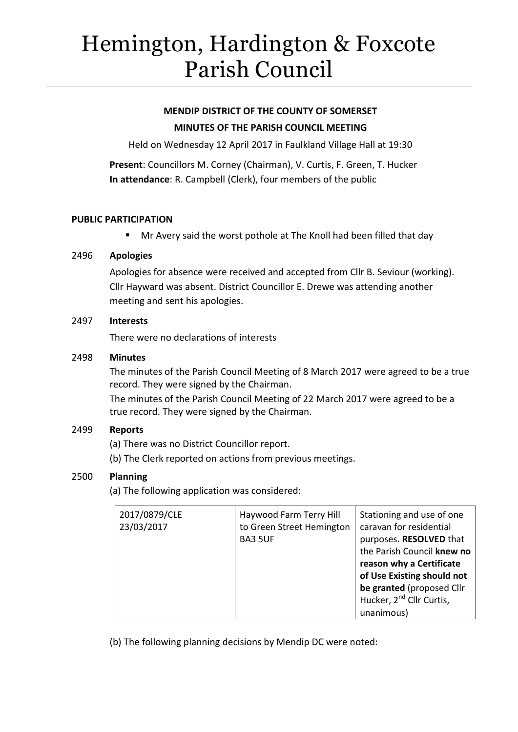# Hemington, Hardington & Foxcote Parish Council

# **MENDIP DISTRICT OF THE COUNTY OF SOMERSET MINUTES OF THE PARISH COUNCIL MEETING**

Held on Wednesday 12 April 2017 in Faulkland Village Hall at 19:30

**Present**: Councillors M. Corney (Chairman), V. Curtis, F. Green, T. Hucker **In attendance**: R. Campbell (Clerk), four members of the public

# **PUBLIC PARTICIPATION**

Mr Avery said the worst pothole at The Knoll had been filled that day

# 2496 **Apologies**

Apologies for absence were received and accepted from Cllr B. Seviour (working). Cllr Hayward was absent. District Councillor E. Drewe was attending another meeting and sent his apologies.

# 2497 **Interests**

There were no declarations of interests

# 2498 **Minutes**

The minutes of the Parish Council Meeting of 8 March 2017 were agreed to be a true record. They were signed by the Chairman.

The minutes of the Parish Council Meeting of 22 March 2017 were agreed to be a true record. They were signed by the Chairman.

# 2499 **Reports**

(a) There was no District Councillor report.

(b) The Clerk reported on actions from previous meetings.

# 2500 **Planning**

(a) The following application was considered:

| 2017/0879/CLE<br>23/03/2017 | Haywood Farm Terry Hill<br>to Green Street Hemington<br><b>BA3 5UF</b> | Stationing and use of one<br>caravan for residential<br>purposes. RESOLVED that<br>the Parish Council knew no<br>reason why a Certificate<br>of Use Existing should not<br>be granted (proposed Cllr<br>Hucker, 2 <sup>nd</sup> Cllr Curtis,<br>unanimous) |
|-----------------------------|------------------------------------------------------------------------|------------------------------------------------------------------------------------------------------------------------------------------------------------------------------------------------------------------------------------------------------------|
|-----------------------------|------------------------------------------------------------------------|------------------------------------------------------------------------------------------------------------------------------------------------------------------------------------------------------------------------------------------------------------|

(b) The following planning decisions by Mendip DC were noted: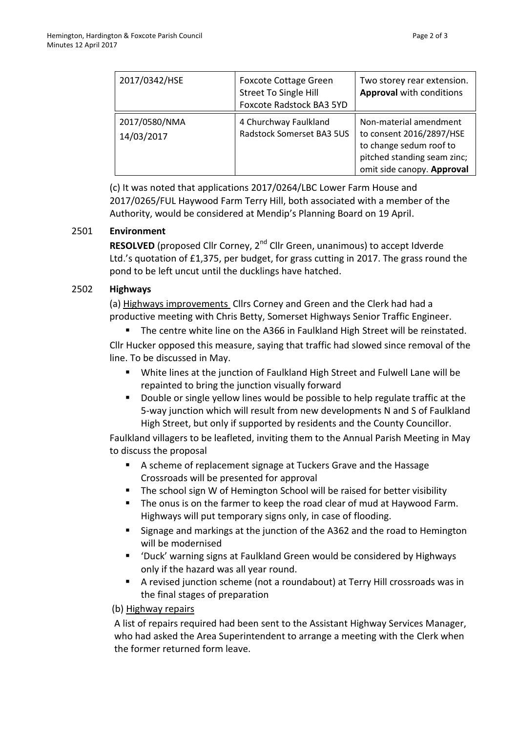| 2017/0342/HSE               | <b>Foxcote Cottage Green</b><br><b>Street To Single Hill</b><br><b>Foxcote Radstock BA3 5YD</b> | Two storey rear extension.<br><b>Approval</b> with conditions                                                                              |
|-----------------------------|-------------------------------------------------------------------------------------------------|--------------------------------------------------------------------------------------------------------------------------------------------|
| 2017/0580/NMA<br>14/03/2017 | 4 Churchway Faulkland<br>Radstock Somerset BA3 5US                                              | Non-material amendment<br>to consent 2016/2897/HSE<br>to change sedum roof to<br>pitched standing seam zinc;<br>omit side canopy. Approval |

(c) It was noted that applications 2017/0264/LBC Lower Farm House and 2017/0265/FUL Haywood Farm Terry Hill, both associated with a member of the Authority, would be considered at Mendip's Planning Board on 19 April.

#### 2501 **Environment**

**RESOLVED** (proposed Cllr Corney, 2<sup>nd</sup> Cllr Green, unanimous) to accept Idverde Ltd.'s quotation of £1,375, per budget, for grass cutting in 2017. The grass round the pond to be left uncut until the ducklings have hatched.

#### 2502 **Highways**

(a) Highways improvements Cllrs Corney and Green and the Clerk had had a productive meeting with Chris Betty, Somerset Highways Senior Traffic Engineer.

- The centre white line on the A366 in Faulkland High Street will be reinstated. Cllr Hucker opposed this measure, saying that traffic had slowed since removal of the line. To be discussed in May.
	- White lines at the junction of Faulkland High Street and Fulwell Lane will be repainted to bring the junction visually forward
	- Double or single yellow lines would be possible to help regulate traffic at the 5-way junction which will result from new developments N and S of Faulkland High Street, but only if supported by residents and the County Councillor.

Faulkland villagers to be leafleted, inviting them to the Annual Parish Meeting in May to discuss the proposal

- A scheme of replacement signage at Tuckers Grave and the Hassage Crossroads will be presented for approval
- The school sign W of Hemington School will be raised for better visibility
- The onus is on the farmer to keep the road clear of mud at Haywood Farm. Highways will put temporary signs only, in case of flooding.
- Signage and markings at the junction of the A362 and the road to Hemington will be modernised
- 'Duck' warning signs at Faulkland Green would be considered by Highways only if the hazard was all year round.
- A revised junction scheme (not a roundabout) at Terry Hill crossroads was in the final stages of preparation

# (b) Highway repairs

 A list of repairs required had been sent to the Assistant Highway Services Manager, who had asked the Area Superintendent to arrange a meeting with the Clerk when the former returned form leave.